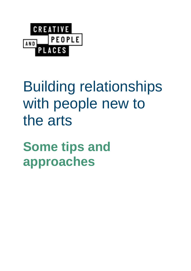

# Building relationships with people new to the arts

**Some tips and approaches**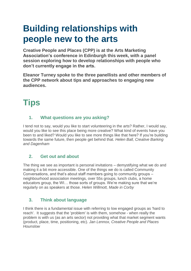# **Building relationships with people new to the arts**

**Creative People and Places (CPP) is at the Arts Marketing Association's conference in Edinburgh this week, with a panel session exploring how to develop relationships with people who don't currently engage in the arts.**

**Eleanor Turney spoke to the three panellists and other members of the CPP network about tips and approaches to engaging new audiences.**

# **Tips**

# **1. What questions are you asking?**

I tend not to say, would you like to start volunteering in the arts? Rather, I would say, would you like to see this place being more creative? What kind of events have you been to and liked? Would you like to see more things like that here? If you're building towards the same future, then people get behind that. *Helen Ball, Creative Barking and Dagenham*

# **2. Get out and about**

The thing we see as important is personal invitations – demystifying what we do and making it a bit more accessible. One of the things we do is called Community Conversations, and that's about staff members going to community groups – neighbourhood association meetings, over 55s groups, lunch clubs, a home educators group, the WI… those sorts of groups. We're making sure that we're regularly on as speakers at those. *Helen Willmott, Made in Corby*

# **3. Think about language**

I think there is a fundamental issue with referring to low engaged groups as 'hard to reach'. It suggests that the 'problem' is with them, somehow - when really the problem is with us (as an arts sector) not providing what that market segment wants (product, place, time, positioning, etc). *Jan Lennox, Creative People and Places Hounslow*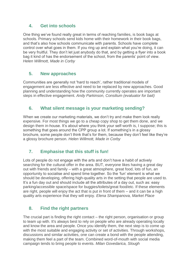#### **4. Get into schools**

One thing we've found really great in terms of reaching families, is book bags at schools. Primary schools send kids home with their homework in their book bags, and that's also how schools communicate with parents. Schools have complete control over what goes in them. If you ring up and explain what you're doing, it can be very fruitful. They don't let just anybody do that, and by getting a flyer into a book bag it kind of has the endorsement of the school, from the parents' point of view. *Helen Willmott, Made in Corby*

#### **5. New approaches**

Communities are generally not 'hard to reach', rather traditional models of engagement are less effective and need to be replaced by new approaches. Good planning and understanding how the community currently operates are important steps in effective engagement. *Andy Parkinson, Consilium (evaluator for bait)*

#### **6. What silent message is your marketing sending?**

When we create our marketing materials, we don't try and make them look really expensive. For most things we go to a cheap copy shop to get them done, and we design them in-house. It's about where you think your self-worth is, I suppose; this is something that goes around the CPP group a lot. If something's in a glossy brochure, some people don't think that's for them, because they don't feel like they're a glossy brochure person. *Helen Willmott, Made in Corby*

# **7. Emphasise that this stuff is fun!**

Lots of people do not engage with the arts and don't have a habit of actively searching for the cultural offer in the area. BUT, everyone likes having a great day out with friends and family – with a great atmosphere, great food, lots of fun, an opportunity to socialise and spend time together. So the 'fun' element is what we should be developing, offering high-quality arts in the setting that people are used to. It's a fun day out and should include all the attributes of a day out, such as: easy parking/accessible space/space for buggies/toilets/great food/etc. If these elements are right, people will enjoy the act that is put in front of them – and it can be a high quality arts experience that they will enjoy. *Elena Shampanova, Market Place*

# **8. Find the right partners**

The crucial part is finding the right contact – the right person, organisation or group to team up with. It's always best to rely on people who are already operating locally and know the area and people. Once you identify them, the next step is to come up with the most suitable and engaging activity or set of activities. Through workshops, discussions and similar activities, one can create a bond with the people attending, making them feel a part of the team. Combined word-of-mouth with social media campaign tends to bring people to events. *Milan Govedarica, Slough*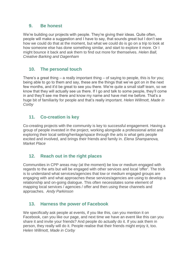#### **9. Be honest**

We're building our projects with people. They're giving their ideas. Quite often, people will make a suggestion and I have to say, that sounds great but I don't see how we could do that at the moment, but what we could do is go on a trip to look at how someone else has done something similar, and start to explore it more. Or I might bounce it back and ask them to find out more for themselves. *Helen Ball, Creative Barking and Dagenham*

#### **10. The personal touch**

There's a great thing – a really important thing – of saying to people, this is for you; being able to go to them and say, these are the things that we've got on in the next few months, and it'd be great to see you there. We're quite a small staff team, so we know that they will actually see us there. If I go and talk to some people, they'll come in and they'll see me there and know my name and have met me before. That's a huge bit of familiarity for people and that's really important. *Helen Willmott, Made in Corby*

#### **11. Co-creation is key**

Co-creating projects with the community is key to successful engagement. Having a group of people invested in the project, working alongside a professional artist and exploring their local setting/heritage/space through the arts is what gets people excited and involved, and brings their friends and family in. *Elena Shampanova, Market Place*

#### **12. Reach out in the right places**

Communities in CPP areas may (at the moment) be low or medium engaged with regards to the arts but will be engaged with other services and local 'offer'. The trick is to understand what services/agencies that low or medium engaged groups are engaging with and what approaches these services/agencies are using to develop a relationship and on-going dialogue. This often necessitates some element of mapping local services / agencies / offer and then using these channels and approaches. *Andy Parkinson*

#### **13. Harness the power of Facebook**

We specifically ask people at events, if you like this, can you mention it on Facebook, can you like our page, and next time we have an event like this can you share it and invite your friends? And people do actually do it. If you ask them in person, they really will do it. People realise that their friends might enjoy it, too. *Helen Willmott, Made in Corby*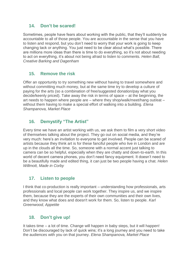#### **14. Don't be scared!**

Sometimes, people have fears about working with the public, that they'll suddenly be accountable to all of those people. You are accountable in the sense that you have to listen and respond, but you don't need to worry that your work is going to keep changing tack or anything. You just need to be clear about what's possible. There are millions more ideas than there is time to do everything, so it's not about needing to act on everything, it's about not being afraid to listen to comments. *Helen Ball, Creative Barking and Dagenham*

#### **15. Remove the risk**

Offer an opportunity to try something new without having to travel somewhere and without committing much money, but at the same time try to develop a culture of paying for the arts (so a combination of free/suggested donation/pay what you decide/keenly priced). Take away the risk in terms of space – at the beginning, the art needs to happen where people are – where they shop/walk/meet/hang out/eat – without them having to make a special effort of walking into a building. *Elena Shampanova, Market Place*

# **16. Demystify "The Artist"**

Every time we have an artist working with us, we ask them to film a very short video of themselves talking about the project. They go out on social media, and they're very much: here's an invitation to everyone to get involved. People can be scared of artists because they think art is for these fanciful people who live in London and are up in the clouds all the time. So, someone with a normal accent just talking to camera can be so helpful, especially when they are chatty and down-to-earth. In this world of decent camera phones, you don't need fancy equipment. It doesn't need to be a beautifully made and edited thing, it can just be two people having a chat. *Helen Willmott, Made in Corby*

# **17. Listen to people**

I think that co-production is really important – understanding how professionals, arts professionals and local people can work together. They inspire us, and we inspire them, because they are the experts of their own communities and their own lives, and they know what does and doesn't work for them. So, listen to people. *Karl Greenwood, Appetite*

#### **18. Don't give up!**

It takes time – a lot of time. Change will happen in baby steps, but it will happen! Don't be discouraged by lack of quick wins; it's a long journey and you need to take the audiences with you on that journey. *Elena Shampanova, Market Place*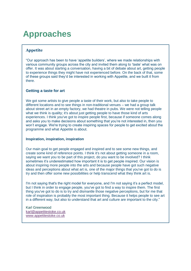# **Approaches**

#### **Appetite**

"Our approach has been to have 'appetite builders', where we made relationships with various community groups across the city and invited them along to 'taste' what was on offer. It was about starting a conversation, having a bit of debate about art, getting people to experience things they might have not experienced before. On the back of that, some of these groups said they'd be interested in working with Appetite, and we built it from there.

#### **Getting a taste for art**

We got some artists to give people a taste of their work, but also to take people to different locations and to see things in non-traditional venues – we had a group talk about street art in an empty factory, we had theatre in pubs. We were not telling people what we think is quality; it's about just getting people to have those kind of arts experiences. I think you've got to inspire people first, because if someone comes along and asks you to make decisions about something that you're not interested in, then you won't engage. We're trying to create inspiring spaces for people to get excited about the programme and what Appetite is about.

#### **Inspiration, inspiration, inspiration**

Our main goal to get people engaged and inspired and to see some new things, and create some kind of reference points. I think it's not about getting someone in a room, saying we want you to be part of this project, do you want to be involved? I think sometimes it's underestimated how important it is to get people inspired. Our vision is about inspiring more people into the arts and because people have got such negative ideas and perceptions about what art is, one of the major things that you've got to do is try and then offer some new possibilities or help transcend what they think art is.

I'm not saying that's the right model for everyone, and I'm not saying it's a perfect model, but I think in order to engage people, you've got to find a way to inspire them. The first thing you've got to do is to try and dismantle those negative perceptions, but for me that role of inspiration is probably the most important thing. Because it helps people to see art in a different way, but also to understand that art and culture are important to the city."

Karl Greenwood [karl@appetitestoke.co.uk](mailto:karl@appetitestoke.co.uk) <www.appetitestoke.co.uk>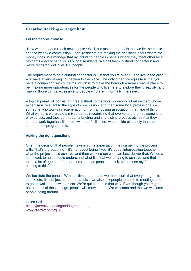#### **Creative Barking & Dagenham**

#### **Let the people choose**

"How we do try and reach new people? Well, our major strategy is that we let the public choose what we commission. Local residents are making the decisions about where the money goes. We manage that by including people in panels where they meet other local residents – every panel is 60% local residents. We call them 'cultural connectors' and we've recruited well over 100 people.

The requirement to be a cultural connector is just that you're over 16 and live in the area – or have a very strong connection to the place. The only other prerequisite is that you have a connection with our aims, which is to make the borough a more creative place to be; making more opportunities for the people who live here to explore their creativity; and making those things accessible to people who aren't normally interested.

A typical panel will consist of three cultural connectors, some kind of arts expert whose expertise is relevant to the style of commission, and then some local professionals – someone who works in regeneration or from a housing association, that type of thing. What we do is we create a mixed panel, recognising that everyone there has some kind of expertise, and they go through a briefing and shortlisting process etc, so that they learn to work together. It's them, with our facilitation, who decide ultimately that the shape of the programme is.

#### **Asking the right questions**

Often the decision that people make isn't the expectation they came into the process with. That's a great thing – it's not about being fixed, it's about interrogating together what the project could achieve, and then working out who can best deliver that. We do a lot of work to help people understand what it is that we're trying to achieve, and that takes a lot of ego out of the process. It helps people to think, could I see my friend coming to this?

We facilitate the panels. We're active on that, and we make sure that everyone gets to speak, etc. It's not just about the panels – we also ask people to come to meetings and to go on walkabouts with artists. We're quite open in that way. Even though you might not be at all of those things, people will know that they're welcome and that we welcome people being around."

Helen Ball [helen@creativebarkinganddagenham.org](mailto:helen@creativebarkinganddagenham.org) [www.creativebd.org.uk](file:///C:/Users/Tamsin/Google%20Drive/Shared%20CPP%20folder/Communications/Website%20content/Content%20development/www.creativebd.org.uk)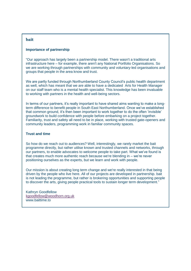#### **bait**

#### **Importance of partnership**

"Our approach has largely been a partnership model. There wasn't a traditional arts infrastructure here – for example, there aren't any National Portfolio Organisations. So we are working through partnerships with community and voluntary-led organisations and groups that people in the area know and trust.

We are partly funded through Northumberland County Council's public health department as well, which has meant that we are able to have a dedicated Arts for Health Manager on our staff team who is a mental health specialist. This knowledge has been invaluable to working with partners in the health and well-being sectors.

In terms of our partners, it's really important to have shared aims wanting to make a longterm difference to benefit people in South East Northumberland. Once we've established that common ground, it's then been important to work together to do the often 'invisible' groundwork to build confidence with people before embarking on a project together. Familiarity, trust and safety all need to be in place, working with trusted gate-openers and community leaders, programming work in familiar community spaces.

#### **Trust and time**

So how do we reach out to audiences? Well, interestingly, we rarely market the bait programme directly, but rather utilise known and trusted channels and networks, through our partners, to enable advocates to welcome people to take part. What we've found is that creates much more authentic reach because we're blending in – we're never positioning ourselves as the experts, but we learn and work with people.

Our mission is about creating long term change and we're really interested in that being driven by the people who live here. All of our projects are developed in partnership. bait is not leading the programme, but rather is brokering opportunities and supporting people to discover the arts, giving people practical tools to sustain longer term development."

Kathryn Goodfellow [kgoodfellow@woodhorn.org.uk](mailto:kgoodfellow@woodhorn.org.uk) www.baittime.to